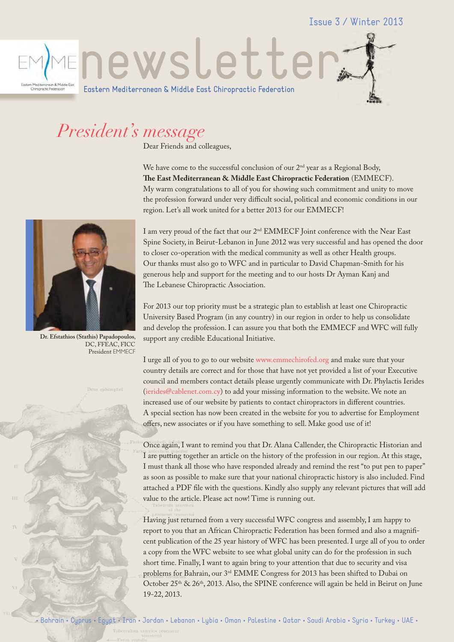Issue 3 / Winter 2013



## *President's message*

Dear Friends and colleagues,

We have come to the successful conclusion of our  $2<sup>nd</sup>$  year as a Regional Body, **The East Mediterranean & Middle East Chiropractic Federation** (EMMECF). My warm congratulations to all of you for showing such commitment and unity to move the profession forward under very difficult social, political and economic conditions in our region. Let's all work united for a better 2013 for our EMMECF!



**Dr. Efstathios (Stathis) Papadopoulos**, DC, FFEAC, FICC President EMMECF

I am very proud of the fact that our 2<sup>nd</sup> EMMECF Joint conference with the Near East Spine Society, in Beirut-Lebanon in June 2012 was very successful and has opened the door to closer co-operation with the medical community as well as other Health groups. Our thanks must also go to WFC and in particular to David Chapman-Smith for his generous help and support for the meeting and to our hosts Dr Ayman Kanj and The Lebanese Chiropractic Association.

For 2013 our top priority must be a strategic plan to establish at least one Chiropractic University Based Program (in any country) in our region in order to help us consolidate and develop the profession. I can assure you that both the EMMECF and WFC will fully support any credible Educational Initiative.

I urge all of you to go to our website www.emmechirofed.org and make sure that your country details are correct and for those that have not yet provided a list of your Executive council and members contact details please urgently communicate with Dr. Phylactis Ierides (ierides@cablenet.com.cy) to add your missing information to the website. We note an increased use of our website by patients to contact chiropractors in different countries. A special section has now been created in the website for you to advertise for Employment offers, new associates or if you have something to sell. Make good use of it!

Once again, I want to remind you that Dr. Alana Callender, the Chiropractic Historian and I are putting together an article on the history of the profession in our region. At this stage, I must thank all those who have responded already and remind the rest "to put pen to paper" as soon as possible to make sure that your national chiropractic history is also included. Find attached a PDF file with the questions. Kindly also supply any relevant pictures that will add value to the article. Please act now! Time is running out.

Having just returned from a very successful WFC congress and assembly, I am happy to report to you that an African Chiropractic Federation has been formed and also a magnificent publication of the 25 year history of WFC has been presented. I urge all of you to order a copy from the WFC website to see what global unity can do for the profession in such short time. Finally, I want to again bring to your attention that due to security and visa problems for Bahrain, our 3<sup>rd</sup> EMME Congress for 2013 has been shifted to Dubai on October 25<sup>th</sup> & 26<sup>th</sup>, 2013. Also, the SPINE conference will again be held in Beirut on June 19-22, 2013.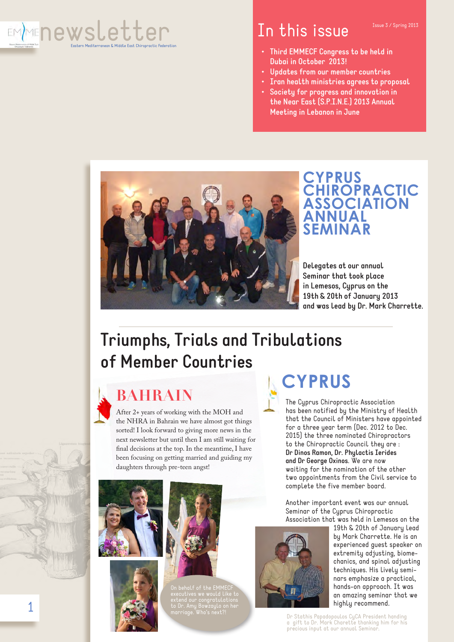

### In this issue Issue 3/ Spring 2013

- **• Third EMMECF Congress to be held in Dubai in October 2013!**
- **• Updates from our member countries**
- **• Iran health ministries agrees to proposal**
- **• Society for progress and innovation in the Near East (S.P.I.N.E.) 2013 Annual Meeting in Lebanon in June**



### **CYPRUS CHIROPRACTIC ASSOCIATION ANNUAL SEMINAR**

**Delegates at our annual Seminar that took place in Lemesos, Cyprus on the 19th & 20th of January 2013 and was lead by Dr. Mark Charrette.**

## **Triumphs, Trials and Tribulations of Member Countries**



### **BAHRAIN**

After 2+ years of working with the MOH and the NHRA in Bahrain we have almost got things sorted! I look forward to giving more news in the next newsletter but until then I am still waiting for final decisions at the top. In the meantime, I have been focusing on getting married and guiding my daughters through pre-teen angst!







On behalf of the EMMECF

# **CYPRUS**

The Cyprus Chiropractic Association has been notified by the Ministry of Health that the Council of Ministers have appointed for a three year term (Dec. 2012 to Dec. 2015) the three nominated Chiropractors to the Chiropractic Council they are : **Dr Dinos Ramon, Dr. Phylactis Ierides and Dr George Oxinos**. We are now waiting for the nomination of the other two appointments from the Civil service to complete the five member board.

Another important event was our annual Seminar of the Cyprus Chiropractic Association that was held in Lemesos on the



19th & 20th of January lead by Mark Charrette. He is an experienced guest speaker on extremity adjusting, biomechanics, and spinal adjusting techniques. His lively seminars emphasize a practical, hands-on approach. It was an amazing seminar that we highly recommend.

Dr Stathis Papadopoulos CyCA President handing a gift to Dr. Mark Charette thanking him for his precious input at our annual Seminar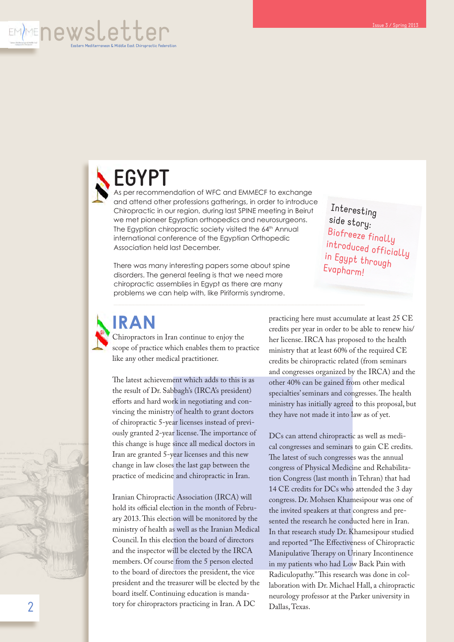

# **EGYPT**

As per recommendation of WFC and EMMECF to exchange and attend other professions gatherings, in order to introduce Chiropractic in our region, during last SPINE meeting in Beirut we met pioneer Egyptian orthopedics and neurosurgeons. The Egyptian chiropractic society visited the 64<sup>th</sup> Annual international conference of the Egyptian Orthopedic Association held last December.

There was many interesting papers some about spine disorders. The general feeling is that we need more chiropractic assemblies in Egypt as there are many problems we can help with, like Piriformis syndrome.

Interesting side story: Biofreeze finally introduced officially in Egypt through Evapharm!

**IRAN**

Chiropractors in Iran continue to enjoy the scope of practice which enables them to practice like any other medical practitioner.

The latest achievement which adds to this is as the result of Dr. Sabbagh's (IRCA's president) efforts and hard work in negotiating and convincing the ministry of health to grant doctors of chiropractic 5-year licenses instead of previously granted 2-year license. The importance of this change is huge since all medical doctors in Iran are granted 5-year licenses and this new change in law closes the last gap between the practice of medicine and chiropractic in Iran.

Iranian Chiropractic Association (IRCA) will hold its official election in the month of February 2013. This election will be monitored by the ministry of health as well as the Iranian Medical Council. In this election the board of directors and the inspector will be elected by the IRCA members. Of course from the 5 person elected to the board of directors the president, the vice president and the treasurer will be elected by the board itself. Continuing education is mandatory for chiropractors practicing in Iran. A DC

practicing here must accumulate at least 25 CE credits per year in order to be able to renew his/ her license. IRCA has proposed to the health ministry that at least 60% of the required CE credits be chiropractic related (from seminars and congresses organized by the IRCA) and the other 40% can be gained from other medical specialties' seminars and congresses. The health ministry has initially agreed to this proposal, but they have not made it into law as of yet.

DCs can attend chiropractic as well as medical congresses and seminars to gain CE credits. The latest of such congresses was the annual congress of Physical Medicine and Rehabilitation Congress (last month in Tehran) that had 14 CE credits for DCs who attended the 3 day congress. Dr. Mohsen Khamesipour was one of the invited speakers at that congress and presented the research he conducted here in Iran. In that research study Dr. Khamesipour studied and reported "The Effectiveness of Chiropractic Manipulative Therapy on Urinary Incontinence in my patients who had Low Back Pain with Radiculopathy." This research was done in collaboration with Dr. Michael Hall, a chiropractic neurology professor at the Parker university in Dallas, Texas.

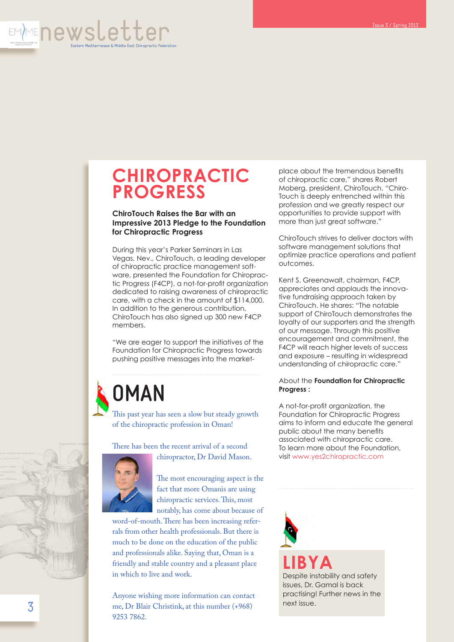

### **CHIROPRACTIC PROGRESS**

#### **ChiroTouch Raises the Bar with an Impressive 2013 Pledge to the Foundation for Chiropractic Progress**

During this year's Parker Seminars in Las Vegas, Nev., ChiroTouch, a leading developer of chiropractic practice management software, presented the Foundation for Chiropractic Progress (F4CP), a not-for-profit organization dedicated to raising awareness of chiropractic care, with a check in the amount of \$114,000. In addition to the generous contribution, ChiroTouch has also signed up 300 new F4CP members.

"We are eager to support the initiatives of the Foundation for Chiropractic Progress towards pushing positive messages into the market-

# **OMAN**

This past year has seen a slow but steady growth of the chiropractic profession in Oman!

There has been the recent arrival of a second



chiropractor, Dr David Mason.

The most encouraging aspect is the fact that more Omanis are using chiropractic services. This, most notably, has come about because of

word-of-mouth. There has been increasing referrals from other health professionals. But there is much to be done on the education of the public and professionals alike. Saying that, Oman is a friendly and stable country and a pleasant place in which to live and work.

Anyone wishing more information can contact me, Dr Blair Christink, at this number (+968) 9253 7862.

place about the tremendous benefits of chiropractic care," shares Robert Moberg, president, ChiroTouch. "Chiro-Touch is deeply entrenched within this profession and we greatly respect our opportunities to provide support with more than just great software."

ChiroTouch strives to deliver doctors with software management solutions that optimize practice operations and patient outcomes.

Kent S. Greenawalt, chairman, F4CP, appreciates and applauds the innovative fundraising approach taken by ChiroTouch. He shares: "The notable support of ChiroTouch demonstrates the loyalty of our supporters and the strength of our message. Through this positive encouragement and commitment, the F4CP will reach higher levels of success and exposure – resulting in widespread understanding of chiropractic care."

#### About the **Foundation for Chiropractic Progress :**

A not-for-profit organization, the Foundation for Chiropractic Progress aims to inform and educate the general public about the many benefits associated with chiropractic care. To learn more about the Foundation, visit www.yes2chiropractic.com

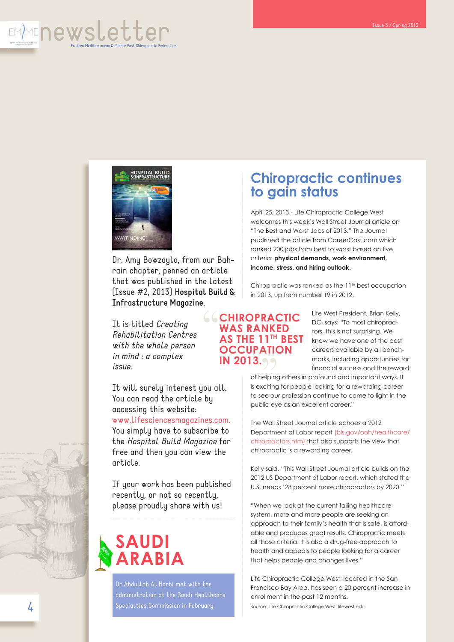



Dr. Amy Bowzaylo, from our Bahrain chapter, penned an article that was published in the latest (Issue #2, 2013) **Hospital Build & Infrastructure Magazine**.

It is titled *Creating Rehabilitation Centres with the whole person in mind : a complex issue*.

It will surely interest you all. You can read the article by accessing this website: www.lifesciencesmagazines.com.

You simply have to subscribe to the *Hospital Build Magazine* for free and then you can view the article.

If your work has been published recently, or not so recently, please proudly share with us!

## **SAUDI ARABIA**

Dr Abdullah Al Harbi met with the Specialties Commission in February.

### **Chiropractic continues to gain status**

April 25, 2013 - Life Chiropractic College West welcomes this week's Wall Street Journal article on "The Best and Worst Jobs of 2013." The Journal published the article from CareerCast.com which ranked 200 jobs from best to worst based on five criteria: **physical demands, work environment, income, stress, and hiring outlook.**

Chiropractic was ranked as the 11<sup>th</sup> best occupation in 2013, up from number 19 in 2012.

### **CHIROPRACTIC<br>
WAS RANKED<br>
AS THE 11<sup>TH</sup> BEST<br>
OCCUPATION WAS RANKED AS THE 11TH BEST OCCUPATION**

Life West President, Brian Kelly, DC, says: "To most chiropractors, this is not surprising. We know we have one of the best careers available by all benchmarks, including opportunities for financial success and the reward

of helping others in profound and important ways. It is exciting for people looking for a rewarding career to see our profession continue to come to light in the public eye as an excellent career." **IN 2013.**<br>
of helping<br>  $\begin{bmatrix}\n\text{if} & \text{is exciting} \\
\text{if} & \text{is exciting} \\
\text{if} & \text{if} \\
\text{if} & \text{if } \\
\text{if} & \text{if } \\
\text{if} & \text{if } \\
\text{if} & \text{if } \\
\text{if} & \text{if } \\
\text{if} & \text{if } \\
\text{if} & \text{if } \\
\text{if} & \text{if } \\
\text{if} & \text{if } \\
\text{if } & \text{if } \\
\text{if } & \text{if } \\
\text{if } & \text{if } \\
\text{if } & \text$ 

> The Wall Street Journal article echoes a 2012 Department of Labor report (bls.gov/ooh/healthcare/ chiropractors.htm) that also supports the view that chiropractic is a rewarding career.

> Kelly said, "This Wall Street Journal article builds on the 2012 US Department of Labor report, which stated the U.S. needs '28 percent more chiropractors by 2020.'"

> "When we look at the current failing healthcare system, more and more people are seeking an approach to their family's health that is safe, is affordable and produces great results. Chiropractic meets all those criteria. It is also a drug-free approach to health and appeals to people looking for a career that helps people and changes lives."

> Life Chiropractic College West, located in the San Francisco Bay Area, has seen a 20 percent increase in enrollment in the past 12 months. Source: Life Chiropractic College West, lifewest.edu



4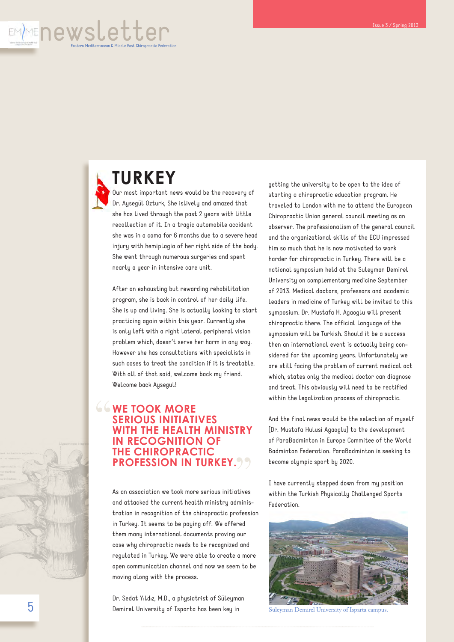

## **TURKEY**

Our most important news would be the recovery of Dr. Aysegül Ozturk, She islively and amazed that she has lived through the past 2 years with little recollection of it. In a tragic automobile accident she was in a coma for 6 months due to a severe head injury with hemiplagia of her right side of the body. She went through numerous surgeries and spent nearly a year in intensive care unit.

After an exhausting but rewarding rehabilitation program, she is back in control of her daily life. She is up and living. She is actually looking to start practicing again within this year. Currently she is only left with a right lateral peripheral vision problem which, doesn't serve her harm in any way. However she has consultations with specialists in such cases to treat the condition if it is treatable. With all of that said, welcome back my friend. Welcome back Aysegul!

#### **EXAMPLE TOOK MORE<br>
SERIOUS INITIATI<br>
WITH THE HEALTH<br>
IN RECOGNITION SERIOUS INITIATIVES WITH THE HEALTH MINISTRY IN RECOGNITION OF THE CHIROPRACTIC PROFESSION IN TURKEY.**

As an association we took more serious initiatives and attacked the current health ministry administration in recognition of the chiropractic profession in Turkey. It seems to be paying off. We offered them many international documents proving our case why chiropractic needs to be recognized and regulated in Turkey. We were able to create a more open communication channel and now we seem to be moving along with the process.

Dr. Sedat Yıldız, M.D., a physiatrist of Süleyman Demirel University of Isparta has been key in

getting the university to be open to the idea of starting a chiropractic education program. He traveled to London with me to attend the European Chiropractic Union general council meeting as an observer. The professionalism of the general council and the organizational skills of the ECU impressed him so much that he is now motivated to work harder for chiropractic in Turkey. There will be a national symposium held at the Suleyman Demirel University on complementary medicine September of 2013. Medical doctors, professors and academic leaders in medicine of Turkey will be invited to this symposium. Dr. Mustafa H. Agaoglu will present chiropractic there. The official language of the symposium will be Turkish. Should it be a success then an international event is actually being considered for the upcoming years. Unfortunately we are still facing the problem of current medical act which, states only the medical doctor can diagnose and treat. This obviously will need to be rectified within the legalization process of chiropractic.

And the final news would be the selection of myself (Dr. Mustafa Hulusi Agaoglu) to the development of ParaBadminton in Europe Commitee of the World Badminton Federation. ParaBadminton is seeking to become olympic sport by 2020.

I have currently stepped down from my position within the Turkish Physically Challenged Sports Federation.



Süleyman Demirel University of Isparta campus.

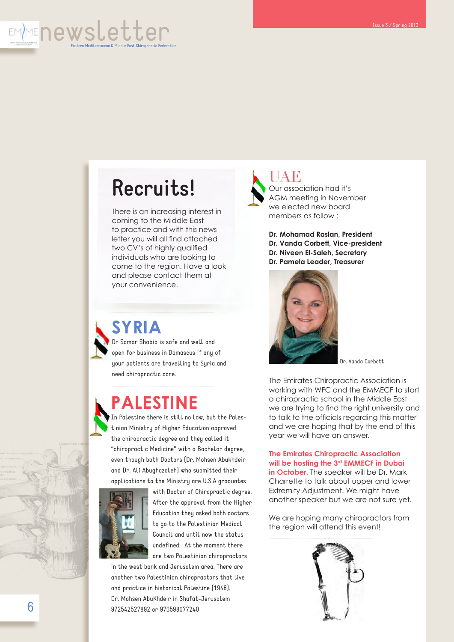

# **Recruits!**

There is an increasing interest in coming to the Middle East to practice and with this newsletter you will all find attached two CV's of highly qualified individuals who are looking to come to the region. Have a look and please contact them at your convenience.



### **SYRIA**

Dr Samar Shabib is safe and well and open for business in Damascus if any of your patients are travelling to Syria and need chiropractic care.

### **PALESTINE**

In Palestine there is still no law, but the Palestinian Ministry of Higher Education approved the chiropractic degree and they called it "chiropractic Medicine" with a Bachelor degree, even though both Doctors (Dr. Mohsen Abukhdeir and Dr. Ali Abughazaleh) who submitted their applications to the Ministry are U.S.A graduates



with Doctor of Chiropractic degree. After the approval from the Higher Education they asked both doctors to go to the Palestinian Medical Council and until now the status undefined. At the moment there are two Palestinian chiropractors

in the west bank and Jerusalem area. There are another two Palestinian chiropractors that live and practice in historical Palestine (1948). Dr. Mohsen AbuKhdeir in Shufat-Jerusalem 972542527892 or 970598077240



UAE Our association had it's AGM meeting in November we elected new board members as follow :

**Dr. Mohamad Raslan, President Dr. Vanda Corbett, Vice-president Dr. Niveen El-Saleh, Secretary Dr. Pamela Leader, Treasurer**



Dr. Vanda Corbett

The Emirates Chiropractic Association is working with WFC and the EMMECF to start a chiropractic school in the Middle East we are trying to find the right university and to talk to the officials regarding this matter and we are hoping that by the end of this year we will have an answer.

**The Emirates Chiropractic Association will be hosting the 3rd EMMECF in Dubai in October.** The speaker will be Dr. Mark Charrette to talk about upper and lower Extremity Adjustment. We might have another speaker but we are not sure yet.

We are hoping many chiropractors from the region will attend this event!